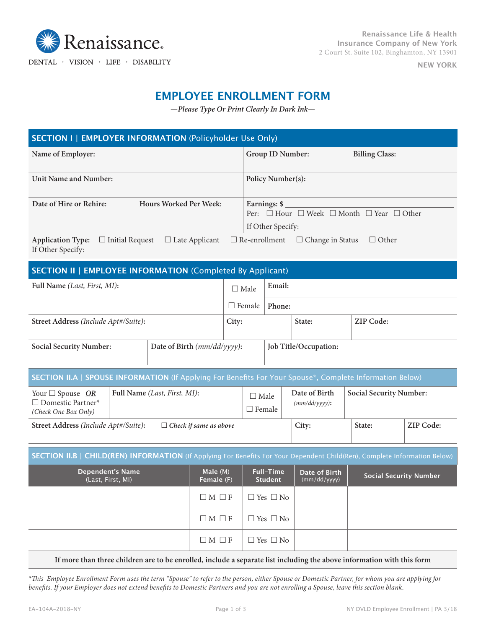

 $\textbf{DENTAL}\;\cdot\;\text{VISION}\;\cdot\;\text{LIEE}\;\cdot\;\text{DISABILITY}$ 

**NEW YORK**

# **EMPLOYEE ENROLLMENT FORM**

—*Please Type Or Print Clearly In Dark Ink*—

| <b>SECTION I   EMPLOYER INFORMATION (Policyholder Use Only)</b>                                                                                        |                             |               |                                                                                    |                                           |                                |  |
|--------------------------------------------------------------------------------------------------------------------------------------------------------|-----------------------------|---------------|------------------------------------------------------------------------------------|-------------------------------------------|--------------------------------|--|
| Name of Employer:                                                                                                                                      |                             |               |                                                                                    | <b>Billing Class:</b><br>Group ID Number: |                                |  |
| Unit Name and Number:                                                                                                                                  |                             |               | Policy Number(s):                                                                  |                                           |                                |  |
| Date of Hire or Rehire:                                                                                                                                | Hours Worked Per Week:      |               | Earnings: \$<br>Per: $\Box$ Hour $\Box$ Week $\Box$ Month $\Box$ Year $\Box$ Other |                                           |                                |  |
| $\Box$ Re-enrollment $\hfill \Box$<br>Change in Status $\hfill \Box$<br><br>Other<br>Application Type: $\Box$ Initial Request<br>$\Box$ Late Applicant |                             |               |                                                                                    |                                           |                                |  |
| <b>SECTION II   EMPLOYEE INFORMATION (Completed By Applicant)</b>                                                                                      |                             |               |                                                                                    |                                           |                                |  |
| Full Name (Last, First, MI):                                                                                                                           |                             | $\Box$ Male   | Email:                                                                             |                                           |                                |  |
|                                                                                                                                                        |                             | $\Box$ Female | Phone:                                                                             |                                           |                                |  |
| Street Address (Include Apt#/Suite):                                                                                                                   |                             | City:         |                                                                                    | State:                                    | <b>ZIP Code:</b>               |  |
| <b>Social Security Number:</b>                                                                                                                         | Date of Birth (mm/dd/yyyy): |               | Job Title/Occupation:                                                              |                                           |                                |  |
| SECTION II.A   SPOUSE INFORMATION (If Applying For Benefits For Your Spouse*, Complete Information Below)                                              |                             |               |                                                                                    |                                           |                                |  |
| Full Name (Last, First, MI):<br>Your $\Box$ Spouse OR<br>$\Box$ Domestic Partner*<br>(Check One Box Only)                                              |                             |               | $\Box$ Male<br>$\Box$ Female                                                       | Date of Birth<br>$(mm/dd/yyyy)$ :         | <b>Social Security Number:</b> |  |

**Street Address** *(Include Apt#/Suite)***:** £ *Check if same as above* **City: State: ZIP Code:**

| SECTION II.B   CHILD(REN) INFORMATION (If Applying For Benefits For Your Dependent Child(Ren), Complete Information Below) |  |
|----------------------------------------------------------------------------------------------------------------------------|--|
|----------------------------------------------------------------------------------------------------------------------------|--|

| <b>Dependent's Name</b><br>(Last, First, MI) | Male $(M)$<br>Female (F) | <b>Full-Time</b><br><b>Student</b> | Date of Birth<br>(mm/dd/yyyy) | <b>Social Security Number</b> |
|----------------------------------------------|--------------------------|------------------------------------|-------------------------------|-------------------------------|
|                                              | $\Box M \Box F$          | $\Box$ Yes $\Box$ No               |                               |                               |
|                                              | $\Box M \Box F$          | $\Box$ Yes $\Box$ No               |                               |                               |
|                                              | $\Box M \Box F$          | $\Box$ Yes $\Box$ No               |                               |                               |

### **If more than three children are to be enrolled, include a separate list including the above information with this form**

*\*This Employee Enrollment Form uses the term "Spouse" to refer to the person, either Spouse or Domestic Partner, for whom you are applying for benefits. If your Employer does not extend benefits to Domestic Partners and you are not enrolling a Spouse, leave this section blank.*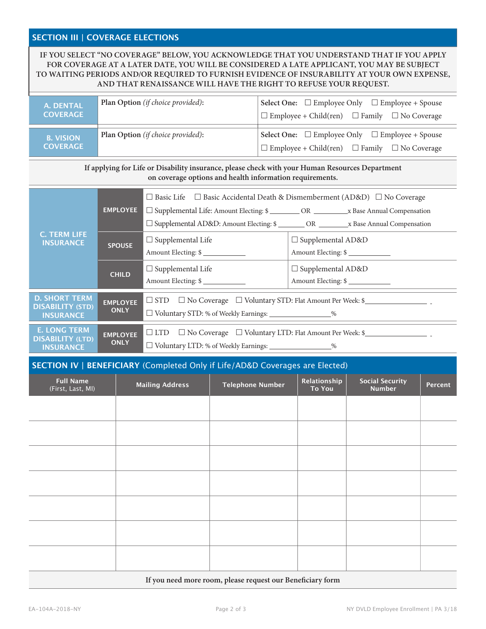## **SECTION III | COVERAGE ELECTIONS**

## **IF YOU SELECT "NO COVERAGE" BELOW, YOU ACKNOWLEDGE THAT YOU UNDERSTAND THAT IF YOU APPLY FOR COVERAGE AT A LATER DATE, YOU WILL BE CONSIDERED A LATE APPLICANT, YOU MAY BE SUBJECT TO WAITING PERIODS AND/OR REQUIRED TO FURNISH EVIDENCE OF INSURABILITY AT YOUR OWN EXPENSE, AND THAT RENAISSANCE WILL HAVE THE RIGHT TO REFUSE YOUR REQUEST.**

| A. DENTAL<br><b>COVERAGE</b>        | <b>Plan Option</b> (if choice provided): | Select One: $\square$ Employee Only $\square$ Employee + Spouse<br>$\Box$ Employee + Child(ren) $\Box$ Family $\Box$ No Coverage |
|-------------------------------------|------------------------------------------|----------------------------------------------------------------------------------------------------------------------------------|
| <b>B. VISION</b><br><b>COVERAGE</b> | Plan Option (if choice provided):        | Select One: $\square$ Employee Only $\square$ Employee + Spouse<br>$\Box$ Employee + Child(ren) $\Box$ Family $\Box$ No Coverage |

**If applying for Life or Disability insurance, please check with your Human Resources Department on coverage options and health information requirements.**

|                                                                     | <b>EMPLOYEE</b>                | $\Box$ Basic Life $\Box$ Basic Accidental Death & Dismemberment (AD&D) $\Box$ No Coverage<br>$\Box$ Supplemental Life: Amount Electing: \$ ___________ OR __________ x Base Annual Compensation<br>□ Supplemental AD&D: Amount Electing: \$ ________ OR ________ x Base Annual Compensation |                                                 |  |  |
|---------------------------------------------------------------------|--------------------------------|---------------------------------------------------------------------------------------------------------------------------------------------------------------------------------------------------------------------------------------------------------------------------------------------|-------------------------------------------------|--|--|
| <b>C. TERM LIFE</b><br><b>INSURANCE</b>                             | <b>SPOUSE</b>                  | $\Box$ Supplemental Life<br>Amount Electing: \$                                                                                                                                                                                                                                             | $\Box$ Supplemental AD&D<br>Amount Electing: \$ |  |  |
|                                                                     | <b>CHILD</b>                   | $\Box$ Supplemental Life<br>Amount Electing: \$                                                                                                                                                                                                                                             | $\Box$ Supplemental AD&D<br>Amount Electing: \$ |  |  |
| <b>D. SHORT TERM</b><br><b>DISABILITY (STD)</b><br><b>INSURANCE</b> | <b>EMPLOYEE</b><br><b>ONLY</b> | $\Box$ STD $\Box$ No Coverage $\Box$ Voluntary STD: Flat Amount Per Week: \$<br>□ Voluntary STD: % of Weekly Earnings: _________________%                                                                                                                                                   |                                                 |  |  |
| <b>E. LONG TERM</b><br><b>DISABILITY (LTD)</b><br><b>INSURANCE</b>  | <b>EMPLOYEE</b><br><b>ONLY</b> | $\Box$ LTD $\Box$ No Coverage $\Box$ Voluntary LTD: Flat Amount Per Week: \$<br>□ Voluntary LTD: % of Weekly Earnings: _________________%                                                                                                                                                   |                                                 |  |  |

### **SECTION IV | BENEFICIARY** (Completed Only if Life/AD&D Coverages are Elected)

| <b>Full Name</b><br>(First, Last, MI) | <b>Mailing Address</b> | <b>Telephone Number</b> | Relationship<br><b>To You</b> | <b>Social Security</b><br><b>Number</b> | Percent |
|---------------------------------------|------------------------|-------------------------|-------------------------------|-----------------------------------------|---------|
|                                       |                        |                         |                               |                                         |         |
|                                       |                        |                         |                               |                                         |         |
|                                       |                        |                         |                               |                                         |         |
|                                       |                        |                         |                               |                                         |         |
|                                       |                        |                         |                               |                                         |         |
|                                       |                        |                         |                               |                                         |         |
|                                       |                        |                         |                               |                                         |         |

#### **If you need more room, please request our Beneficiary form**